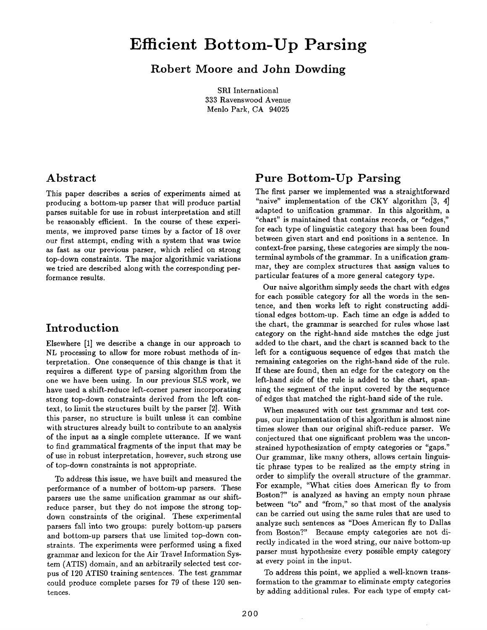# **Efficient Bottom-Up Parsing**

**Robert Moore and John Dowding** 

SRI International 333 Ravenswood Avenue Menlo Park, CA 94025

#### **Abstract**

This paper describes a series of experiments aimed at producing a bottom-up parser that will produce partial parses suitable for use in robust interpretation and still be reasonably efficient. In the course of these experiments, we improved parse times by a factor of 18 over our first attempt, ending with a system that was twice as fast as our previous parser, which relied on strong top-down constraints. The major algorithmic variations we tried are described along with the corresponding performance results.

## **Introduction**

Elsewhere [1] we describe a change in our approach to NL processing to allow for more robust methods of interpretation. One consequence of this change is that it requires a different type of parsing algorithm from the one we have been using. In our previous SLS work, we have used a shift-reduce left-corner parser incorporating strong top-down constraints derived from the left context, to limit the structures built by the parser [2]. With this parser, no structure is built unless it can combine with structures already built to contribute to an analysis of the input as a single complete utterance. If we want to find grammatical fragments of the input that may be of use in robust interpretation, however, such strong use of top-down constraints is not appropriate.

To address this issue, we have built and measured the performance of a number of bottom-up parsers. These parsers use the same unification grammar as our shiftreduce parser, but they do not impose the strong topdown constraints of the original. These experimental parsers fall into two groups: purely bottom-up parsers and bottom-up parsers that use limited top-down constraints. The experiments were performed using a fixed grammar and lexicon for the Air Trave! Information System (ATIS) domain, and an arbitrarily selected test corpus of 120 ATIS0 training sentences. The test grammar could produce complete parses for 79 of these 120 sentences.

## **Pure Bottom-Up Parsing**

The first parser we implemented was a straightforward "naive" implementation of the CKY algorithm [3, 4] adapted to unification grammar. In this algorithm, a "chart" is maintained that contains records, or "edges," for each type of linguistic category that has been found between given start and end positions in a sentence. In context-free parsing, these categories are simply the nonterminal symbols of the grammar. In a unification grammar, they are complex structures that assign values to particular features of a more general category type.

Our naive algorithm simply seeds the chart with edges for each possible category for all the words in the sentence, and then works left to right constructing additional edges bottom-up. Each time an edge is added to the chart, the grammar is searched for rules whose last category on the right-hand side matches the edge just added to the chart, and the chart is scanned back to the left for a contiguous sequence of edges that match the remaining categories on the right-hand side of the rule. If these are found, then an edge for the category on the left-hand side of the rule is added to the chart, spanning the segment of the input covered by the sequence of edges that matched the right-hand side of the rule.

When measured with our test grammar and test corpus, our implementation of this algorithm is almost nine times slower than our original shift-reduce parser. We conjectured that one significant problem was the unconstrained hypothesization of empty categories or "gaps." Our grammar, like many others, allows certain linguistic phrase types to be realized as the empty string in order to simplify the overall structure of the grammar. For example, "What cities does American fly to from Boston?" is analyzed as having an empty noun phrase between *"to"* and "from," so that most of the analysis can be carried out using the same rules that are used to analyze such sentences as "Does American fly to Dallas from Boston?" Because empty categories are not directly indicated in the word string, our naive bottom-up parser must hypothesize every possible empty category at every point in the input.

To address this point, we applied a well-known transformation to the grammar to eliminate empty categories by adding additional rules. For each type of empty cat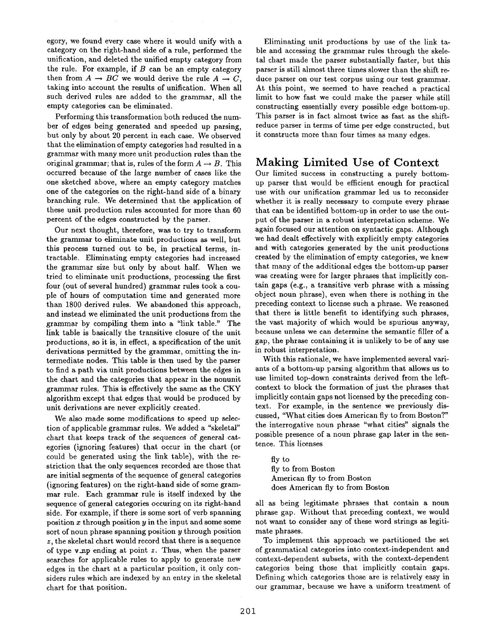egory, we found every case where it would unify with a category on the right-hand side of a rule, performed the unification, and deleted the unified empty category from the rule. For example, if  $B$  can be an empty category then from  $A \rightarrow BC$  we would derive the rule  $A \rightarrow C$ , taking into account the results of unification. When all such derived rules are added to the grammar, all the empty categories can be eliminated.

Performing this transformation both reduced the number of edges being generated and speeded up parsing, but only by about 20 percent in each case. We observed that the elimination of empty categories had resulted in a grammar with many more unit production rules than the original grammar; that is, rules of the form  $A \rightarrow B$ . This occurred because of the large number of cases like the one sketched above, where an empty category matches one of the categories on the right-hand side of a binary branching rule. We determined that the application of these unit production rules accounted for more than 60 percent of the edges constructed by the parser.

Our next thought, therefore, was to try to transform the grammar to eliminate unit productions as well, but this process turned out to be, in practical terms, intractable. Eliminating empty categories had increased the grammar size but only by about half. When we tried to eliminate unit productions, processing the first four (out of several hundred) grammar rules took a couple of hours of computation time and generated more than 1800 derived rules. We abandoned this approach, and instead we eliminated the unit productions from the grammar by compiling them into a "link table." The link table is basically the transitive closure of the unit productions, so it is, in effect, a specification of the unit derivations permitted by the grammar, omitting the intermediate nodes. This table is then used by the parser to find a path via unit productions between the edges in the chart and the categories that appear in the nonunit grammar rules. This is effectively the same as the CKY algorithm except that edges that would be produced by unit derivations are never explicitly created.

We also made some modifications to speed up selection of applicable grammar rules. We added a "skeletal" chart that keeps track of the sequences of general categories (ignoring features) that occur in the chart (or could be generated using the link table), with the restriction that the only sequences recorded are those that are initial segments of the sequence of general categories (ignoring features) on the right-hand side of some grammar rule. Each grammar rule is itself indexed by the sequence of general categories occuring on its right-hand side. For example, if there is some sort of verb spanning position x through position  $y$  in the input and some some sort of noun phrase spanning position  $y$  through position z, the skeletal chart would record that there is a sequence of type v.xtp ending at point *z.* Thus, when the parser searches for applicable rules to apply to generate new edges in the chart at a particular position, it only considers rules which are indexed by an entry in the skeletal chart for that position.

Eliminating unit productions by use of the link table and accessing the grammar rules through the skeletal chart made the parser substantially faster, but this parser is still almost three times slower than the shift reduce parser on our test corpus using our test grammar. At this point, we seemed to have reached a practical limit to how fast we could make the parser while still constructing essentially every possible edge bottom-up. This parser is in fact almost twice as fast as the shiftreduce parser in terms of time per edge constructed, but it constructs more than four times as many edges.

## **Making Limited Use of Context**

Our limited success in constructing a purely bottomup parser that would be efficient enough for practical use with our unification grammar led us to reconsider whether it is really necessary to compute every phrase that can be identified bottom-up in order to use the output of the parser in a robust interpretation scheme. We again focused our attention on syntactic gaps. Although we had dealt effectively with explicitly empty categories and with categories generated by the unit productions created by the elimination of empty categories, we knew that many of the additional edges the bottom-up parser was creating were for larger phrases that implicitly contain gaps (e.g., a transitive verb phrase with a missing object noun phrase), even when there is nothing in the preceding context to license such a phrase. We reasoned that there is little benefit to identifying such phrases, the vast majority of which would be spurious anyway, because unless we can determine the semantic filler of a gap, the phrase containing it is unlikely to be of any use in robust interpretation.

With this rationale, we have implemented several variants of a bottom-up parsing algorithm that allows us to use limited top-down constraints derived from the leftcontext to block the formation of just the phrases that implicitly contain gaps not licensed by the preceding context. For example, in the sentence we previously discussed, "What cities does American fly to from Boston?" the interrogative noun phrase "what cities" signals the possible presence of a noun phrase gap later in the sentence. This licenses

fly to fly to from Boston American fly to from Boston does American fly to from Boston

all as being legitimate phrases that contain a noun phrase gap. Without that preceding context, we would not want to consider any of these word strings as legitimate phrases.

To implement this approach we partitioned the set of grammatical categories into context-independent and context-dependent subsets, with the context-dependent categories being those that implicitly contain gaps. Defining which categories those are is relatively easy in our grammar, because we have a uniform treatment of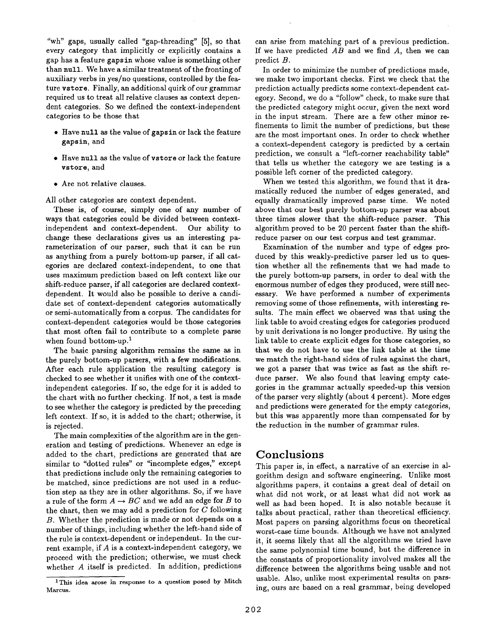"wh" gaps, usually called "gap-threading" [5], so that every category that implicitly or explicitly contains a gap has a feature gapsin whose value is something other than null. We have a similar treatment of the fronting of auxiliary verbs in yes/no questions, controlled by the feature vstore. Finally, an additional quirk of our grammar required us to treat all relative clauses as context dependent categories. So we defined the context-independent categories to be those that

- Have null as the value of gapsin or lack the feature gapsin, and
- Have null as the value of vstore or lack the feature **vstore,** and
- Are not relative clauses.

All other categories are context dependent.

These is, of course, simply one of any number of ways that categories could be divided between contextindependent and context-dependent. Our ability to change these declarations gives us an interesting parameterization of our parser, such that it can be run as anything from a purely bottom-up parser, if all categories are declared context-independent, to one that uses maximum prediction based on left context like our shift-reduce parser, if all categories are declared contextdependent. It would also be possible to derive a candidate set of context-dependent categories automatically or semi-automatically from a corpus. The candidates for context-dependent categories would be those categories that most often fail to contribute to a complete parse when found bottom-up. $<sup>1</sup>$ </sup>

The basic parsing algorithm remains the same as in the purely bottom-up parsers, with a few modifications. After each rule application the resulting category is checked to see whether it unifies with one of the contextindependent categories. If so, the edge for it is added to the chart with no further checking. If not, a test is made to see whether the category is predicted by the preceding left context. If so, it is added to the chart; otherwise, it is rejected.

The main complexities of the algorithm are in the generation and testing of predictions. Whenever an edge is added to the chart, predictions are generated that are similar to "dotted rules" or "incomplete edges," except that predictions include only the remaining categories to be matched, since predictions are not used in a reduction step as they are in other algorithms. So, if we have a rule of the form  $A \rightarrow BC$  and we add an edge for B to the chart, then we may add a prediction for  $C$  following B. Whether the prediction is made or not depends on a number of things, including whether the left-hand side of the rule is context-dependent or independent. In the current example, if A is a context-independent category, we proceed with the prediction; otherwise, we must check whether A itself is predicted. In addition, predictions can arise from matching part of a previous prediction. If we have predicted *AB* and we find A, then we can predict B.

In order to minimize the number of predictions made, we make two important checks. First we check that the prediction actually predicts some context-dependent category. Second, we do a "follow" check, to make sure that the predicted category might occur, given the next word in the input stream. There are a few other minor refinements to limit the number of predictions, but these are the most important ones. In order to check whether a context-dependent category is predicted by a certain prediction, we consult a "left-corner reachability table" that tells us whether the category we are testing is a possible left corner of the predicted category.

When we tested this algorithm, we found that it dramatically reduced the number of edges generated, and equally dramatically improved parse time. We noted above that our best purely bottom-up parser was about three times slower that the shift-reduce parser. This algorithm proved to be 20 percent faster than the shiftreduce parser on our test corpus and test grammar.

Examination of the number and type of edges produced by this weakly-predictive parser led us to question whether all the refinements that we had made to the purely bottom-up parsers, in order to deal with the enormous number of edges they produced, were still necessary. We have performed a number of experiments removing some of those refinements, with interesting results. The main effect we observed was that using the link table to avoid creating edges for categories produced by unit derivations is no longer productive. By using the link table to create explicit edges for those categories, so that we do not have to use the link table at the time we match the right-hand sides of rules against the chart, we got a parser that was twice as fast as the shift reduce parser. We also found that leaving empty categories in the grammar actually speeded-up this version of the parser very slightly (about 4 percent). More edges and predictions were generated for the empty categories, but this was apparently more than compensated for by the reduction in the number of grammar rules.

## **Conclusions**

This paper is, in effect, a narrative of an exercise in algorithm design and software engineering. Unlike most algorithms papers, it contains a great deal of detail on what did not work, or at least what did not work as well as had been hoped. It is also notable because it talks about practical, rather than theoretical efficiency. Most papers on parsing algorithms focus on theoretical worst-case time bounds. Although we have not analyzed it, it seems likely that all the algorithms we tried have the same polynomial time bound, but the difference in the constants of proportionality involved makes all the difference between the algorithms being usable and not usable. Also, unlike most experimental results on parsing, ours are based on a real grammar, being developed

<sup>&</sup>lt;sup>1</sup>This idea arose in response to a question posed by Mitch Marcus.